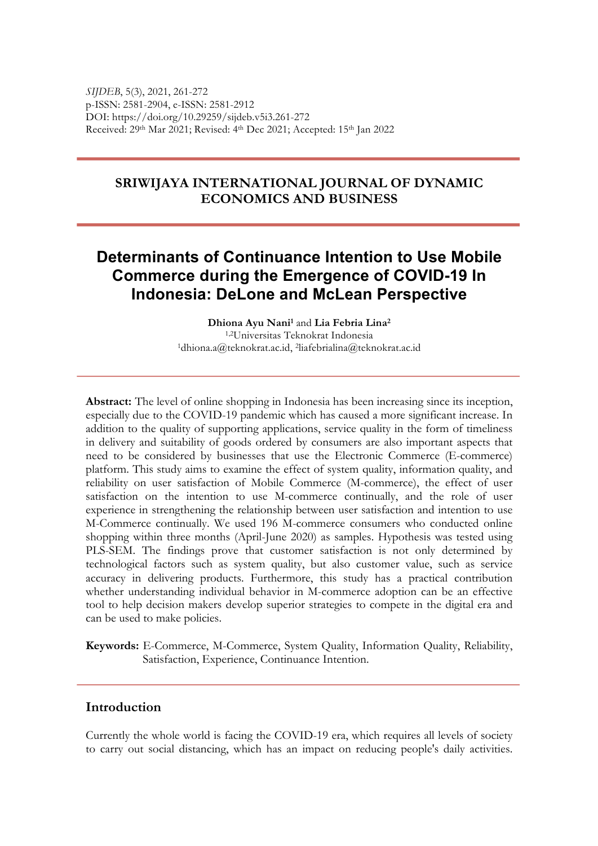*SIJDEB*, 5(3), 2021, 261-272 p-ISSN: 2581-2904, e-ISSN: 2581-2912 DOI: https://doi.org/10.29259/sijdeb.v5i3.261-272 Received: 29th Mar 2021; Revised: 4th Dec 2021; Accepted: 15th Jan 2022

## **SRIWIJAYA INTERNATIONAL JOURNAL OF DYNAMIC ECONOMICS AND BUSINESS**

# **Determinants of Continuance Intention to Use Mobile Commerce during the Emergence of COVID-19 In Indonesia: DeLone and McLean Perspective**

**Dhiona Ayu Nani1** and **Lia Febria Lina2** 1,2Universitas Teknokrat Indonesia 1dhiona.a@teknokrat.ac.id, 2liafebrialina@teknokrat.ac.id

**Abstract:** The level of online shopping in Indonesia has been increasing since its inception, especially due to the COVID-19 pandemic which has caused a more significant increase. In addition to the quality of supporting applications, service quality in the form of timeliness in delivery and suitability of goods ordered by consumers are also important aspects that need to be considered by businesses that use the Electronic Commerce (E-commerce) platform. This study aims to examine the effect of system quality, information quality, and reliability on user satisfaction of Mobile Commerce (M-commerce), the effect of user satisfaction on the intention to use M-commerce continually, and the role of user experience in strengthening the relationship between user satisfaction and intention to use M-Commerce continually. We used 196 M-commerce consumers who conducted online shopping within three months (April-June 2020) as samples. Hypothesis was tested using PLS-SEM. The findings prove that customer satisfaction is not only determined by technological factors such as system quality, but also customer value, such as service accuracy in delivering products. Furthermore, this study has a practical contribution whether understanding individual behavior in M-commerce adoption can be an effective tool to help decision makers develop superior strategies to compete in the digital era and can be used to make policies.

**Keywords:** E-Commerce, M-Commerce, System Quality, Information Quality, Reliability, Satisfaction, Experience, Continuance Intention.

#### **Introduction**

Currently the whole world is facing the COVID-19 era, which requires all levels of society to carry out social distancing, which has an impact on reducing people's daily activities.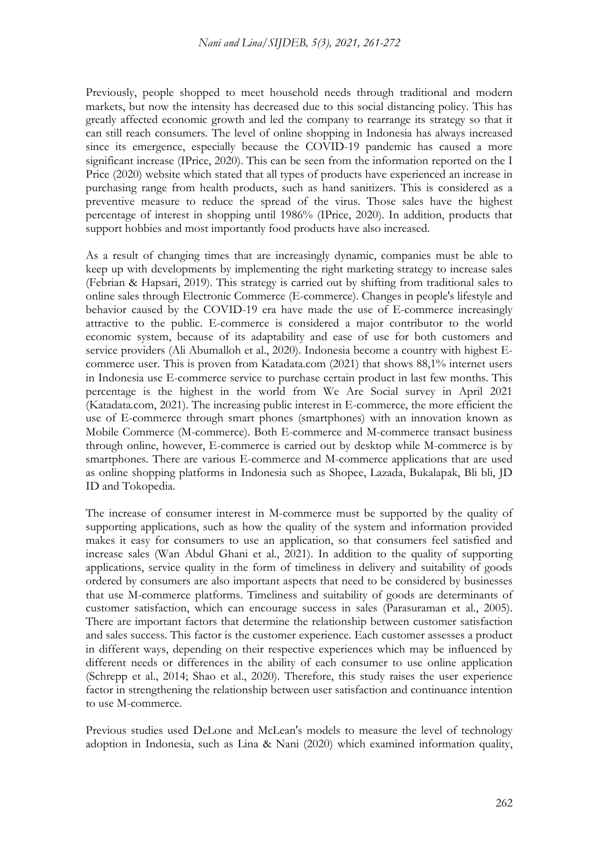#### *Nani and Lina/SIJDEB, 5(3), 2021, 261-272*

Previously, people shopped to meet household needs through traditional and modern markets, but now the intensity has decreased due to this social distancing policy. This has greatly affected economic growth and led the company to rearrange its strategy so that it can still reach consumers. The level of online shopping in Indonesia has always increased since its emergence, especially because the COVID-19 pandemic has caused a more significant increase (IPrice, 2020). This can be seen from the information reported on the I Price (2020) website which stated that all types of products have experienced an increase in purchasing range from health products, such as hand sanitizers. This is considered as a preventive measure to reduce the spread of the virus. Those sales have the highest percentage of interest in shopping until 1986% (IPrice, 2020). In addition, products that support hobbies and most importantly food products have also increased.

As a result of changing times that are increasingly dynamic, companies must be able to keep up with developments by implementing the right marketing strategy to increase sales (Febrian & Hapsari, 2019). This strategy is carried out by shifting from traditional sales to online sales through Electronic Commerce (E-commerce). Changes in people's lifestyle and behavior caused by the COVID-19 era have made the use of E-commerce increasingly attractive to the public. E-commerce is considered a major contributor to the world economic system, because of its adaptability and ease of use for both customers and service providers (Ali Abumalloh et al., 2020). Indonesia become a country with highest Ecommerce user. This is proven from Katadata.com (2021) that shows 88,1% internet users in Indonesia use E-commerce service to purchase certain product in last few months. This percentage is the highest in the world from We Are Social survey in April 2021 (Katadata.com, 2021). The increasing public interest in E-commerce, the more efficient the use of E-commerce through smart phones (smartphones) with an innovation known as Mobile Commerce (M-commerce). Both E-commerce and M-commerce transact business through online, however, E-commerce is carried out by desktop while M-commerce is by smartphones. There are various E-commerce and M-commerce applications that are used as online shopping platforms in Indonesia such as Shopee, Lazada, Bukalapak, Bli bli, JD ID and Tokopedia.

The increase of consumer interest in M-commerce must be supported by the quality of supporting applications, such as how the quality of the system and information provided makes it easy for consumers to use an application, so that consumers feel satisfied and increase sales (Wan Abdul Ghani et al., 2021). In addition to the quality of supporting applications, service quality in the form of timeliness in delivery and suitability of goods ordered by consumers are also important aspects that need to be considered by businesses that use M-commerce platforms. Timeliness and suitability of goods are determinants of customer satisfaction, which can encourage success in sales (Parasuraman et al., 2005). There are important factors that determine the relationship between customer satisfaction and sales success. This factor is the customer experience. Each customer assesses a product in different ways, depending on their respective experiences which may be influenced by different needs or differences in the ability of each consumer to use online application (Schrepp et al., 2014; Shao et al., 2020). Therefore, this study raises the user experience factor in strengthening the relationship between user satisfaction and continuance intention to use M-commerce.

Previous studies used DeLone and McLean's models to measure the level of technology adoption in Indonesia, such as Lina & Nani (2020) which examined information quality,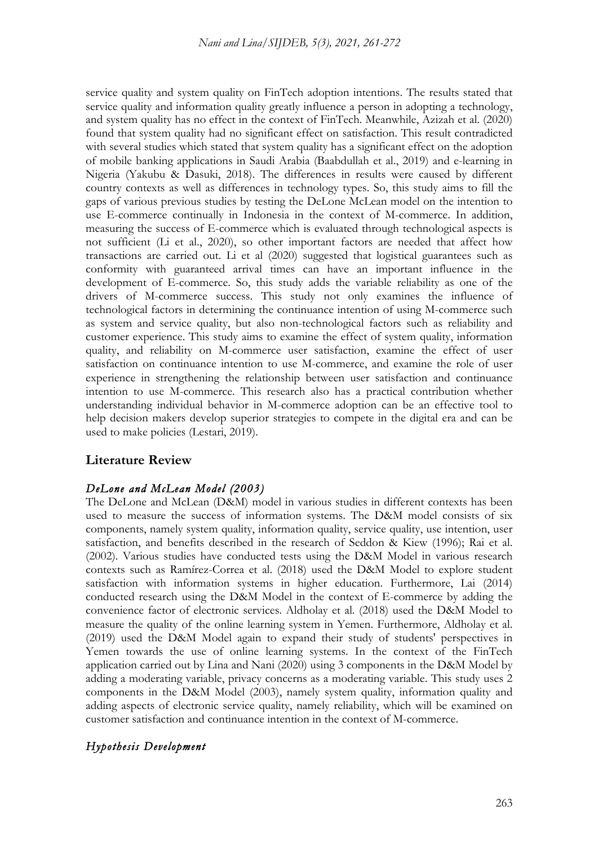service quality and system quality on FinTech adoption intentions. The results stated that service quality and information quality greatly influence a person in adopting a technology, and system quality has no effect in the context of FinTech. Meanwhile, Azizah et al. (2020) found that system quality had no significant effect on satisfaction. This result contradicted with several studies which stated that system quality has a significant effect on the adoption of mobile banking applications in Saudi Arabia (Baabdullah et al., 2019) and e-learning in Nigeria (Yakubu & Dasuki, 2018). The differences in results were caused by different country contexts as well as differences in technology types. So, this study aims to fill the gaps of various previous studies by testing the DeLone McLean model on the intention to use E-commerce continually in Indonesia in the context of M-commerce. In addition, measuring the success of E-commerce which is evaluated through technological aspects is not sufficient (Li et al., 2020), so other important factors are needed that affect how transactions are carried out. Li et al (2020) suggested that logistical guarantees such as conformity with guaranteed arrival times can have an important influence in the development of E-commerce. So, this study adds the variable reliability as one of the drivers of M-commerce success. This study not only examines the influence of technological factors in determining the continuance intention of using M-commerce such as system and service quality, but also non-technological factors such as reliability and customer experience. This study aims to examine the effect of system quality, information quality, and reliability on M-commerce user satisfaction, examine the effect of user satisfaction on continuance intention to use M-commerce, and examine the role of user experience in strengthening the relationship between user satisfaction and continuance intention to use M-commerce. This research also has a practical contribution whether understanding individual behavior in M-commerce adoption can be an effective tool to help decision makers develop superior strategies to compete in the digital era and can be used to make policies (Lestari, 2019).

## **Literature Review**

## *DeLone and McLean Model (2003)*

The DeLone and McLean (D&M) model in various studies in different contexts has been used to measure the success of information systems. The D&M model consists of six components, namely system quality, information quality, service quality, use intention, user satisfaction, and benefits described in the research of Seddon & Kiew (1996); Rai et al. (2002). Various studies have conducted tests using the D&M Model in various research contexts such as Ramírez-Correa et al. (2018) used the D&M Model to explore student satisfaction with information systems in higher education. Furthermore, Lai (2014) conducted research using the D&M Model in the context of E-commerce by adding the convenience factor of electronic services. Aldholay et al. (2018) used the D&M Model to measure the quality of the online learning system in Yemen. Furthermore, Aldholay et al. (2019) used the D&M Model again to expand their study of students' perspectives in Yemen towards the use of online learning systems. In the context of the FinTech application carried out by Lina and Nani (2020) using 3 components in the D&M Model by adding a moderating variable, privacy concerns as a moderating variable. This study uses 2 components in the D&M Model (2003), namely system quality, information quality and adding aspects of electronic service quality, namely reliability, which will be examined on customer satisfaction and continuance intention in the context of M-commerce.

### *Hypothesis Development*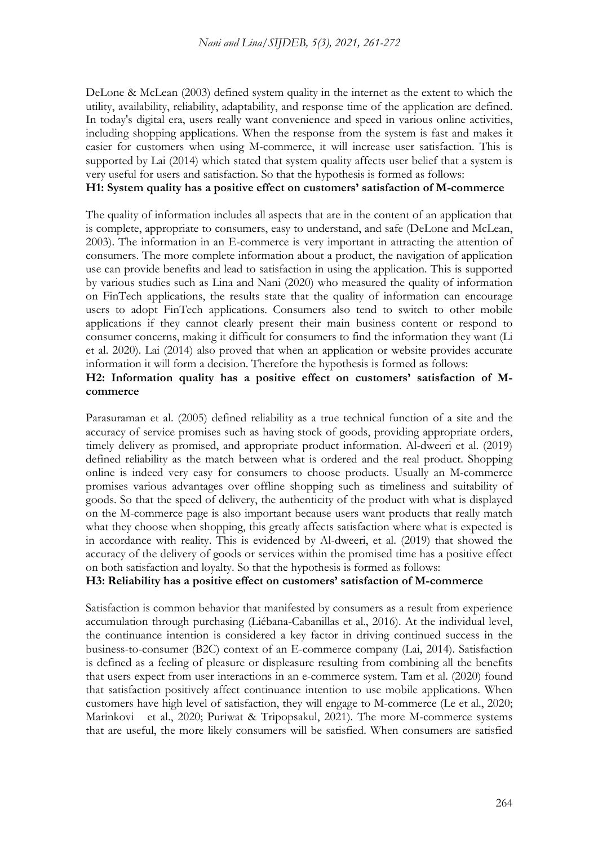DeLone & McLean (2003) defined system quality in the internet as the extent to which the utility, availability, reliability, adaptability, and response time of the application are defined. In today's digital era, users really want convenience and speed in various online activities, including shopping applications. When the response from the system is fast and makes it easier for customers when using M-commerce, it will increase user satisfaction. This is supported by Lai (2014) which stated that system quality affects user belief that a system is very useful for users and satisfaction. So that the hypothesis is formed as follows:

#### **H1: System quality has a positive effect on customers' satisfaction of M-commerce**

The quality of information includes all aspects that are in the content of an application that is complete, appropriate to consumers, easy to understand, and safe (DeLone and McLean, 2003). The information in an E-commerce is very important in attracting the attention of consumers. The more complete information about a product, the navigation of application use can provide benefits and lead to satisfaction in using the application. This is supported by various studies such as Lina and Nani (2020) who measured the quality of information on FinTech applications, the results state that the quality of information can encourage users to adopt FinTech applications. Consumers also tend to switch to other mobile applications if they cannot clearly present their main business content or respond to consumer concerns, making it difficult for consumers to find the information they want (Li et al. 2020). Lai (2014) also proved that when an application or website provides accurate information it will form a decision. Therefore the hypothesis is formed as follows:

#### **H2: Information quality has a positive effect on customers' satisfaction of Mcommerce**

Parasuraman et al. (2005) defined reliability as a true technical function of a site and the accuracy of service promises such as having stock of goods, providing appropriate orders, timely delivery as promised, and appropriate product information. Al-dweeri et al. (2019) defined reliability as the match between what is ordered and the real product. Shopping online is indeed very easy for consumers to choose products. Usually an M-commerce promises various advantages over offline shopping such as timeliness and suitability of goods. So that the speed of delivery, the authenticity of the product with what is displayed on the M-commerce page is also important because users want products that really match what they choose when shopping, this greatly affects satisfaction where what is expected is in accordance with reality. This is evidenced by Al-dweeri, et al. (2019) that showed the accuracy of the delivery of goods or services within the promised time has a positive effect on both satisfaction and loyalty. So that the hypothesis is formed as follows:

#### **H3: Reliability has a positive effect on customers' satisfaction of M-commerce**

Satisfaction is common behavior that manifested by consumers as a result from experience accumulation through purchasing (Liébana-Cabanillas et al., 2016). At the individual level, the continuance intention is considered a key factor in driving continued success in the business-to-consumer (B2C) context of an E-commerce company (Lai, 2014). Satisfaction is defined as a feeling of pleasure or displeasure resulting from combining all the benefits that users expect from user interactions in an e-commerce system. Tam et al. (2020) found that satisfaction positively affect continuance intention to use mobile applications. When customers have high level of satisfaction, they will engage to M-commerce (Le et al., 2020; Marinkovi et al., 2020; Puriwat & Tripopsakul, 2021). The more M-commerce systems that are useful, the more likely consumers will be satisfied. When consumers are satisfied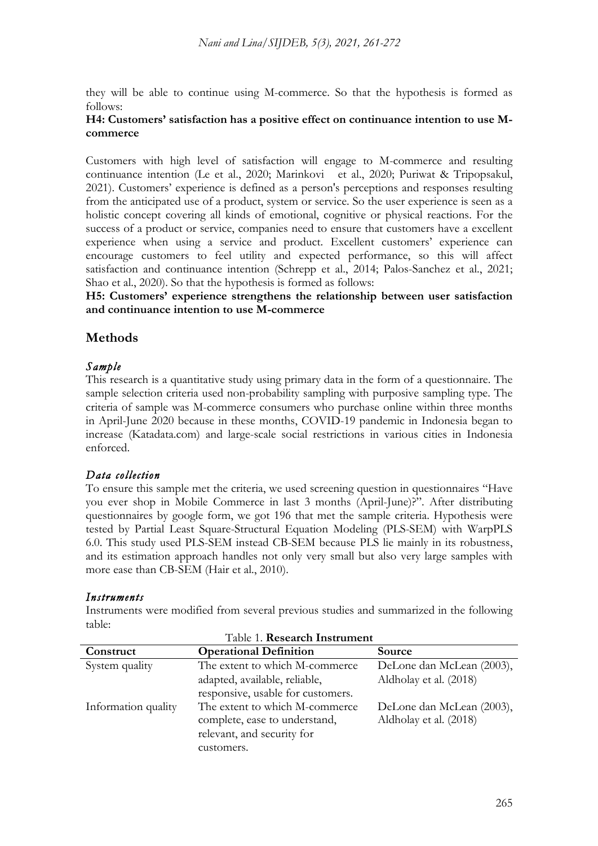they will be able to continue using M-commerce. So that the hypothesis is formed as follows:

#### **H4: Customers' satisfaction has a positive effect on continuance intention to use Mcommerce**

Customers with high level of satisfaction will engage to M-commerce and resulting continuance intention (Le et al., 2020; Marinkovi et al., 2020; Puriwat & Tripopsakul, 2021). Customers' experience is defined as a person's perceptions and responses resulting from the anticipated use of a product, system or service. So the user experience is seen as a holistic concept covering all kinds of emotional, cognitive or physical reactions. For the success of a product or service, companies need to ensure that customers have a excellent experience when using a service and product. Excellent customers' experience can encourage customers to feel utility and expected performance, so this will affect satisfaction and continuance intention (Schrepp et al., 2014; Palos-Sanchez et al., 2021; Shao et al., 2020). So that the hypothesis is formed as follows:

**H5: Customers' experience strengthens the relationship between user satisfaction and continuance intention to use M-commerce**

## **Methods**

## *Sample*

This research is a quantitative study using primary data in the form of a questionnaire. The sample selection criteria used non-probability sampling with purposive sampling type. The criteria of sample was M-commerce consumers who purchase online within three months in April-June 2020 because in these months, COVID-19 pandemic in Indonesia began to increase (Katadata.com) and large-scale social restrictions in various cities in Indonesia enforced.

## *Data collection*

To ensure this sample met the criteria, we used screening question in questionnaires "Have you ever shop in Mobile Commerce in last 3 months (April-June)?". After distributing questionnaires by google form, we got 196 that met the sample criteria. Hypothesis were tested by Partial Least Square-Structural Equation Modeling (PLS-SEM) with WarpPLS 6.0. This study used PLS-SEM instead CB-SEM because PLS lie mainly in its robustness, and its estimation approach handles not only very small but also very large samples with more ease than CB-SEM (Hair et al., 2010).

### *Instruments*

Instruments were modified from several previous studies and summarized in the following table: Table 1. **Research Instrument**

| Construct           | <b>Operational Definition</b>                                      | Source                    |  |  |  |
|---------------------|--------------------------------------------------------------------|---------------------------|--|--|--|
| System quality      | The extent to which M-commerce                                     | DeLone dan McLean (2003), |  |  |  |
|                     | adapted, available, reliable,<br>responsive, usable for customers. | Aldholay et al. (2018)    |  |  |  |
| Information quality | The extent to which M-commerce                                     | DeLone dan McLean (2003), |  |  |  |
|                     | complete, ease to understand,<br>relevant, and security for        | Aldholay et al. (2018)    |  |  |  |
|                     | customers.                                                         |                           |  |  |  |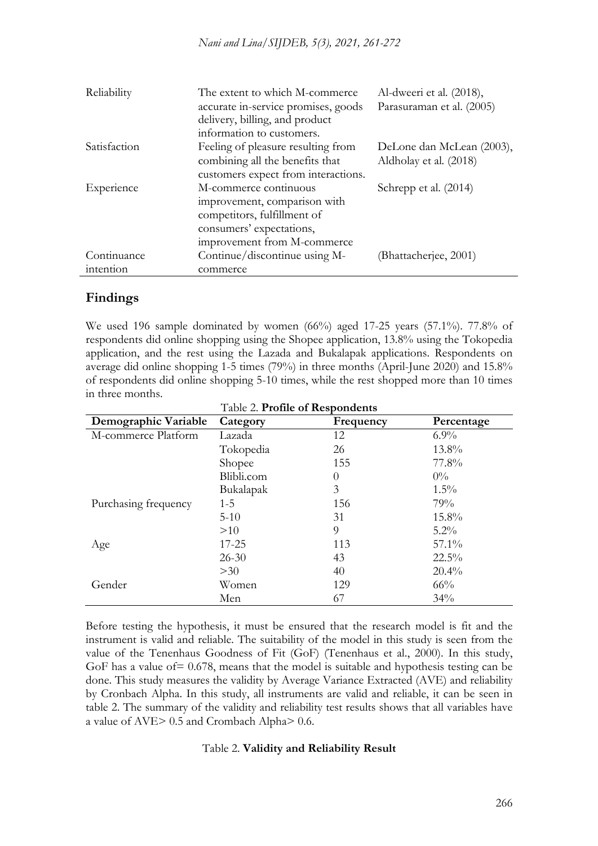| Reliability  | The extent to which M-commerce<br>accurate in-service promises, goods<br>delivery, billing, and product<br>information to customers.            | Al-dweeri et al. (2018),<br>Parasuraman et al. (2005) |
|--------------|-------------------------------------------------------------------------------------------------------------------------------------------------|-------------------------------------------------------|
| Satisfaction | Feeling of pleasure resulting from<br>combining all the benefits that<br>customers expect from interactions.                                    | DeLone dan McLean (2003),<br>Aldholay et al. (2018)   |
| Experience   | M-commerce continuous<br>improvement, comparison with<br>competitors, fulfillment of<br>consumers' expectations,<br>improvement from M-commerce | Schrepp et al. (2014)                                 |
| Continuance  | Continue/discontinue using M-                                                                                                                   | (Bhattacherjee, 2001)                                 |
| intention    | commerce                                                                                                                                        |                                                       |

## **Findings**

We used 196 sample dominated by women  $(66%)$  aged 17-25 years  $(57.1%)$ . 77.8% of respondents did online shopping using the Shopee application, 13.8% using the Tokopedia application, and the rest using the Lazada and Bukalapak applications. Respondents on average did online shopping 1-5 times (79%) in three months (April-June 2020) and 15.8% of respondents did online shopping 5-10 times, while the rest shopped more than 10 times in three months. Table 2. **Profile of Respondents**

| Demographic Variable | Category   | Frequency | Percentage |
|----------------------|------------|-----------|------------|
| M-commerce Platform  | Lazada     | 12        | $6.9\%$    |
|                      | Tokopedia  | 26        | 13.8%      |
|                      | Shopee     | 155       | 77.8%      |
|                      | Blibli.com | 0         | $0\%$      |
|                      | Bukalapak  | 3         | $1.5\%$    |
| Purchasing frequency | $1-5$      | 156       | 79%        |
|                      | $5-10$     | 31        | 15.8%      |
|                      | >10        | 9         | $5.2\%$    |
| Age                  | 17-25      | 113       | $57.1\%$   |
|                      | $26 - 30$  | 43        | $22.5\%$   |
|                      | >30        | 40        | $20.4\%$   |
| Gender               | Women      | 129       | 66%        |
|                      | Men        | 67        | 34%        |

Before testing the hypothesis, it must be ensured that the research model is fit and the instrument is valid and reliable. The suitability of the model in this study is seen from the value of the Tenenhaus Goodness of Fit (GoF) (Tenenhaus et al., 2000). In this study, GoF has a value of = 0.678, means that the model is suitable and hypothesis testing can be done. This study measures the validity by Average Variance Extracted (AVE) and reliability by Cronbach Alpha. In this study, all instruments are valid and reliable, it can be seen in table 2. The summary of the validity and reliability test results shows that all variables have a value of AVE> 0.5 and Crombach Alpha> 0.6.

#### Table 2. **Validity and Reliability Result**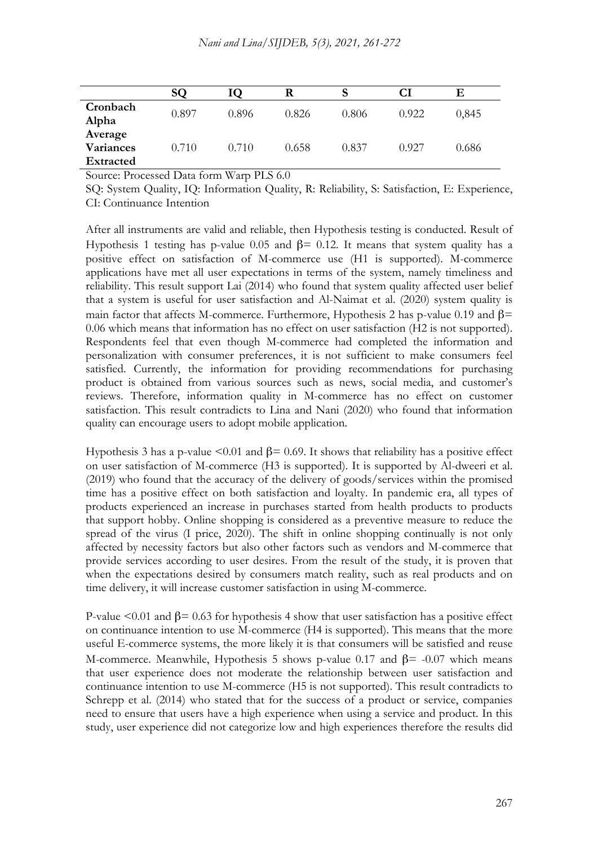|                                          | SQ    |       |       |       | Cl    | Е     |
|------------------------------------------|-------|-------|-------|-------|-------|-------|
| Cronbach<br>Alpha                        | 0.897 | 0.896 | 0.826 | 0.806 | 0.922 | 0,845 |
| Average<br>Variances<br><b>Extracted</b> | 0.710 | 0.710 | 0.658 | 0.837 | 0.927 | 0.686 |

Source: Processed Data form Warp PLS 6.0

SQ: System Quality, IQ: Information Quality, R: Reliability, S: Satisfaction, E: Experience, CI: Continuance Intention

After all instruments are valid and reliable, then Hypothesis testing is conducted. Result of Hypothesis 1 testing has p-value 0.05 and  $β = 0.12$ . It means that system quality has a positive effect on satisfaction of M-commerce use (H1 is supported). M-commerce applications have met all user expectations in terms of the system, namely timeliness and reliability. This result support Lai (2014) who found that system quality affected user belief that a system is useful for user satisfaction and Al-Naimat et al. (2020) system quality is main factor that affects M-commerce. Furthermore, Hypothesis 2 has p-value 0.19 and  $\beta$ = 0.06 which means that information has no effect on user satisfaction (H2 is not supported). Respondents feel that even though M-commerce had completed the information and personalization with consumer preferences, it is not sufficient to make consumers feel satisfied. Currently, the information for providing recommendations for purchasing product is obtained from various sources such as news, social media, and customer's reviews. Therefore, information quality in M-commerce has no effect on customer satisfaction. This result contradicts to Lina and Nani (2020) who found that information quality can encourage users to adopt mobile application.

Hypothesis 3 has a p-value  $\leq 0.01$  and β= 0.69. It shows that reliability has a positive effect on user satisfaction of M-commerce (H3 is supported). It is supported by Al-dweeri et al. (2019) who found that the accuracy of the delivery of goods/services within the promised time has a positive effect on both satisfaction and loyalty. In pandemic era, all types of products experienced an increase in purchases started from health products to products that support hobby. Online shopping is considered as a preventive measure to reduce the spread of the virus (I price, 2020). The shift in online shopping continually is not only affected by necessity factors but also other factors such as vendors and M-commerce that provide services according to user desires. From the result of the study, it is proven that when the expectations desired by consumers match reality, such as real products and on time delivery, it will increase customer satisfaction in using M-commerce.

P-value  $\leq 0.01$  and  $\beta = 0.63$  for hypothesis 4 show that user satisfaction has a positive effect on continuance intention to use M-commerce (H4 is supported). This means that the more useful E-commerce systems, the more likely it is that consumers will be satisfied and reuse M-commerce. Meanwhile, Hypothesis 5 shows p-value 0.17 and  $\beta$ = -0.07 which means that user experience does not moderate the relationship between user satisfaction and continuance intention to use M-commerce (H5 is not supported). This result contradicts to Schrepp et al. (2014) who stated that for the success of a product or service, companies need to ensure that users have a high experience when using a service and product. In this study, user experience did not categorize low and high experiences therefore the results did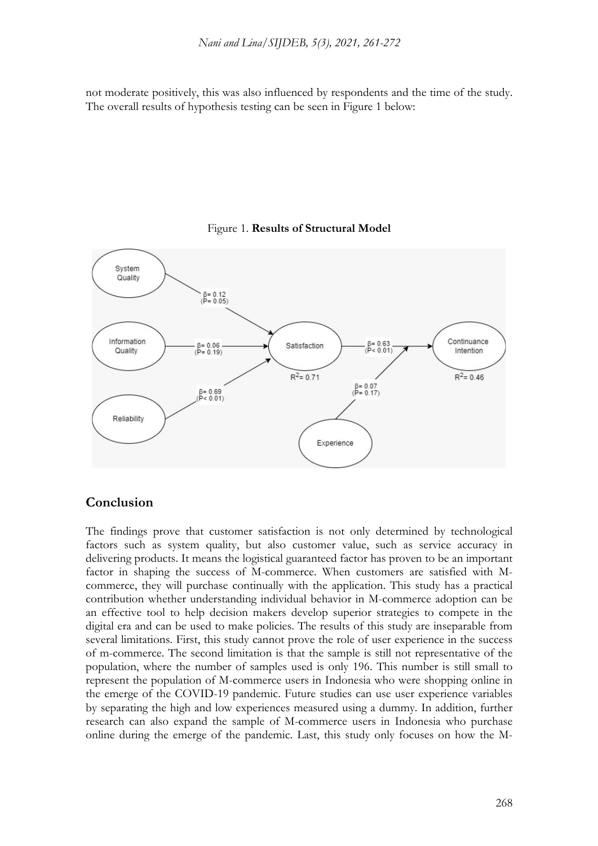not moderate positively, this was also influenced by respondents and the time of the study. The overall results of hypothesis testing can be seen in Figure 1 below:



#### Figure 1. **Results of Structural Model**

#### **Conclusion**

The findings prove that customer satisfaction is not only determined by technological factors such as system quality, but also customer value, such as service accuracy in delivering products. It means the logistical guaranteed factor has proven to be an important factor in shaping the success of M-commerce. When customers are satisfied with Mcommerce, they will purchase continually with the application. This study has a practical contribution whether understanding individual behavior in M-commerce adoption can be an effective tool to help decision makers develop superior strategies to compete in the digital era and can be used to make policies. The results of this study are inseparable from several limitations. First, this study cannot prove the role of user experience in the success of m-commerce. The second limitation is that the sample is still not representative of the population, where the number of samples used is only 196. This number is still small to represent the population of M-commerce users in Indonesia who were shopping online in the emerge of the COVID-19 pandemic. Future studies can use user experience variables by separating the high and low experiences measured using a dummy. In addition, further research can also expand the sample of M-commerce users in Indonesia who purchase online during the emerge of the pandemic. Last, this study only focuses on how the M-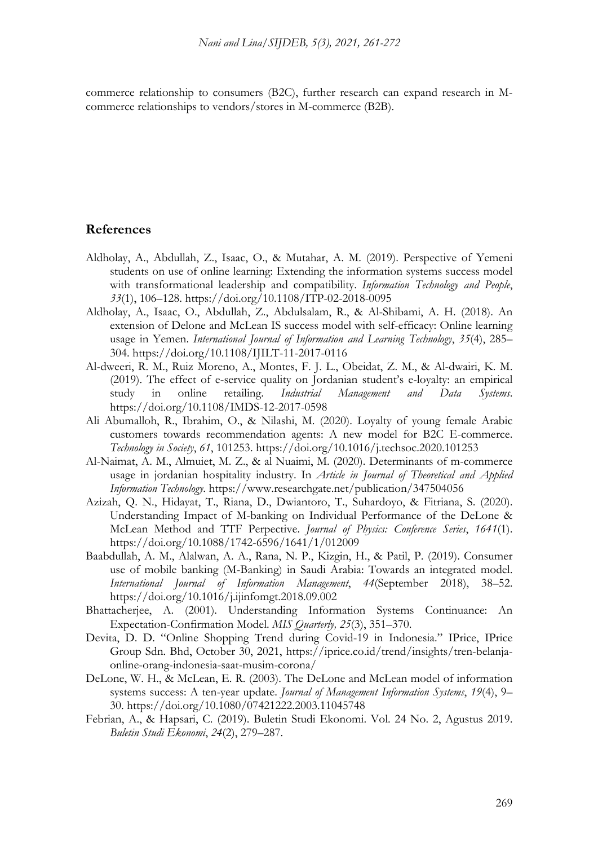commerce relationship to consumers (B2C), further research can expand research in Mcommerce relationships to vendors/stores in M-commerce (B2B).

#### **References**

- Aldholay, A., Abdullah, Z., Isaac, O., & Mutahar, A. M. (2019). Perspective of Yemeni students on use of online learning: Extending the information systems success model with transformational leadership and compatibility. *Information Technology and People*, *33*(1), 106–128. https://doi.org/10.1108/ITP-02-2018-0095
- Aldholay, A., Isaac, O., Abdullah, Z., Abdulsalam, R., & Al-Shibami, A. H. (2018). An extension of Delone and McLean IS success model with self-efficacy: Online learning usage in Yemen. *International Journal of Information and Learning Technology*, *35*(4), 285– 304. https://doi.org/10.1108/IJILT-11-2017-0116
- Al-dweeri, R. M., Ruiz Moreno, A., Montes, F. J. L., Obeidat, Z. M., & Al-dwairi, K. M. (2019). The effect of e-service quality on Jordanian student's e-loyalty: an empirical study in online retailing. *Industrial Management and Data Systems*. https://doi.org/10.1108/IMDS-12-2017-0598
- Ali Abumalloh, R., Ibrahim, O., & Nilashi, M. (2020). Loyalty of young female Arabic customers towards recommendation agents: A new model for B2C E-commerce. *Technology in Society*, *61*, 101253. https://doi.org/10.1016/j.techsoc.2020.101253
- Al-Naimat, A. M., Almuiet, M. Z., & al Nuaimi, M. (2020). Determinants of m-commerce usage in jordanian hospitality industry. In *Article in Journal of Theoretical and Applied Information Technology*. https://www.researchgate.net/publication/347504056
- Azizah, Q. N., Hidayat, T., Riana, D., Dwiantoro, T., Suhardoyo, & Fitriana, S. (2020). Understanding Impact of M-banking on Individual Performance of the DeLone & McLean Method and TTF Perpective. *Journal of Physics: Conference Series*, *1641*(1). https://doi.org/10.1088/1742-6596/1641/1/012009
- Baabdullah, A. M., Alalwan, A. A., Rana, N. P., Kizgin, H., & Patil, P. (2019). Consumer use of mobile banking (M-Banking) in Saudi Arabia: Towards an integrated model. *International Journal of Information Management*, *44*(September 2018), 38–52. https://doi.org/10.1016/j.ijinfomgt.2018.09.002
- Bhattacherjee, A. (2001). Understanding Information Systems Continuance: An Expectation-Confirmation Model. *MIS Quarterly, 25*(3), 351–370.
- Devita, D. D. "Online Shopping Trend during Covid-19 in Indonesia." IPrice, IPrice Group Sdn. Bhd, October 30, 2021, https://iprice.co.id/trend/insights/tren-belanjaonline-orang-indonesia-saat-musim-corona/
- DeLone, W. H., & McLean, E. R. (2003). The DeLone and McLean model of information systems success: A ten-year update. *Journal of Management Information Systems*, *19*(4), 9– 30. https://doi.org/10.1080/07421222.2003.11045748
- Febrian, A., & Hapsari, C. (2019). Buletin Studi Ekonomi. Vol. 24 No. 2, Agustus 2019. *Buletin Studi Ekonomi*, *24*(2), 279–287.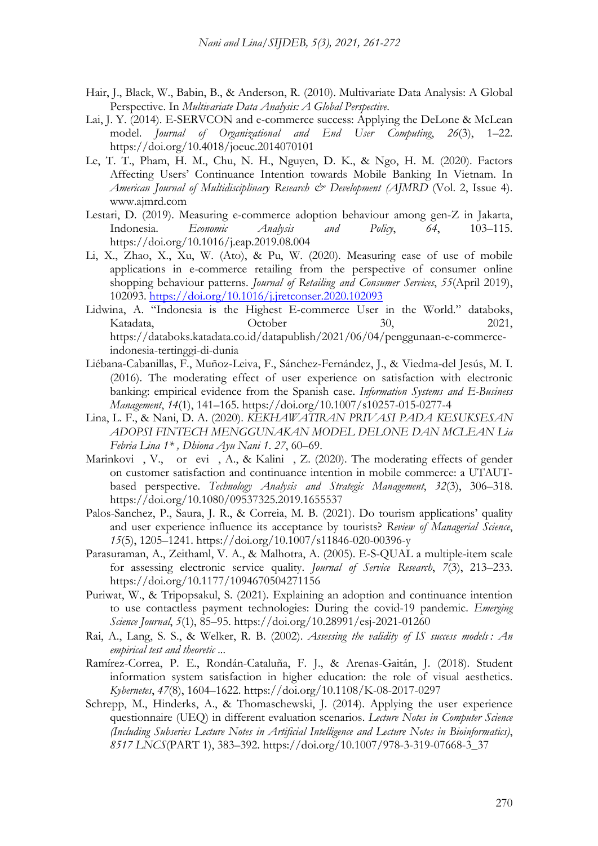- Hair, J., Black, W., Babin, B., & Anderson, R. (2010). Multivariate Data Analysis: A Global Perspective. In *Multivariate Data Analysis: A Global Perspective*.
- Lai, J. Y. (2014). E-SERVCON and e-commerce success: Applying the DeLone & McLean model. *Journal of Organizational and End User Computing*, *26*(3), 1–22. https://doi.org/10.4018/joeuc.2014070101
- Le, T. T., Pham, H. M., Chu, N. H., Nguyen, D. K., & Ngo, H. M. (2020). Factors Affecting Users' Continuance Intention towards Mobile Banking In Vietnam. In *American Journal of Multidisciplinary Research & Development (AJMRD* (Vol. 2, Issue 4). www.ajmrd.com
- Lestari, D. (2019). Measuring e-commerce adoption behaviour among gen-Z in Jakarta, Indonesia. *Economic Analysis and Policy*, *64*, 103–115. https://doi.org/10.1016/j.eap.2019.08.004
- Li, X., Zhao, X., Xu, W. (Ato), & Pu, W. (2020). Measuring ease of use of mobile applications in e-commerce retailing from the perspective of consumer online shopping behaviour patterns. *Journal of Retailing and Consumer Services*, *55*(April 2019), 102093. https://doi.org/10.1016/j.jretconser.2020.102093
- Lidwina, A. "Indonesia is the Highest E-commerce User in the World." databoks, Katadata, Corober 30, 2021, https://databoks.katadata.co.id/datapublish/2021/06/04/penggunaan-e-commerceindonesia-tertinggi-di-dunia
- Liébana-Cabanillas, F., Muñoz-Leiva, F., Sánchez-Fernández, J., & Viedma-del Jesús, M. I. (2016). The moderating effect of user experience on satisfaction with electronic banking: empirical evidence from the Spanish case. *Information Systems and E-Business Management*, *14*(1), 141–165. https://doi.org/10.1007/s10257-015-0277-4
- Lina, L. F., & Nani, D. A. (2020). *KEKHAWATIRAN PRIVASI PADA KESUKSESAN ADOPSI FINTECH MENGGUNAKAN MODEL DELONE DAN MCLEAN Lia Febria Lina 1\* , Dhiona Ayu Nani 1*. *27*, 60–69.
- Marinkovi, V., or evi, A., & Kalini, Z. (2020). The moderating effects of gender on customer satisfaction and continuance intention in mobile commerce: a UTAUTbased perspective. *Technology Analysis and Strategic Management*, *32*(3), 306–318. https://doi.org/10.1080/09537325.2019.1655537
- Palos-Sanchez, P., Saura, J. R., & Correia, M. B. (2021). Do tourism applications' quality and user experience influence its acceptance by tourists? *Review of Managerial Science*, *15*(5), 1205–1241. https://doi.org/10.1007/s11846-020-00396-y
- Parasuraman, A., Zeithaml, V. A., & Malhotra, A. (2005). E-S-QUAL a multiple-item scale for assessing electronic service quality. *Journal of Service Research*, *7*(3), 213–233. https://doi.org/10.1177/1094670504271156
- Puriwat, W., & Tripopsakul, S. (2021). Explaining an adoption and continuance intention to use contactless payment technologies: During the covid-19 pandemic. *Emerging Science Journal*, *5*(1), 85–95. https://doi.org/10.28991/esj-2021-01260
- Rai, A., Lang, S. S., & Welker, R. B. (2002). *Assessing the validity of IS success models : An empirical test and theoretic ...*
- Ramírez-Correa, P. E., Rondán-Cataluña, F. J., & Arenas-Gaitán, J. (2018). Student information system satisfaction in higher education: the role of visual aesthetics. *Kybernetes*, *47*(8), 1604–1622. https://doi.org/10.1108/K-08-2017-0297
- Schrepp, M., Hinderks, A., & Thomaschewski, J. (2014). Applying the user experience questionnaire (UEQ) in different evaluation scenarios. *Lecture Notes in Computer Science (Including Subseries Lecture Notes in Artificial Intelligence and Lecture Notes in Bioinformatics)*, *8517 LNCS*(PART 1), 383–392. https://doi.org/10.1007/978-3-319-07668-3\_37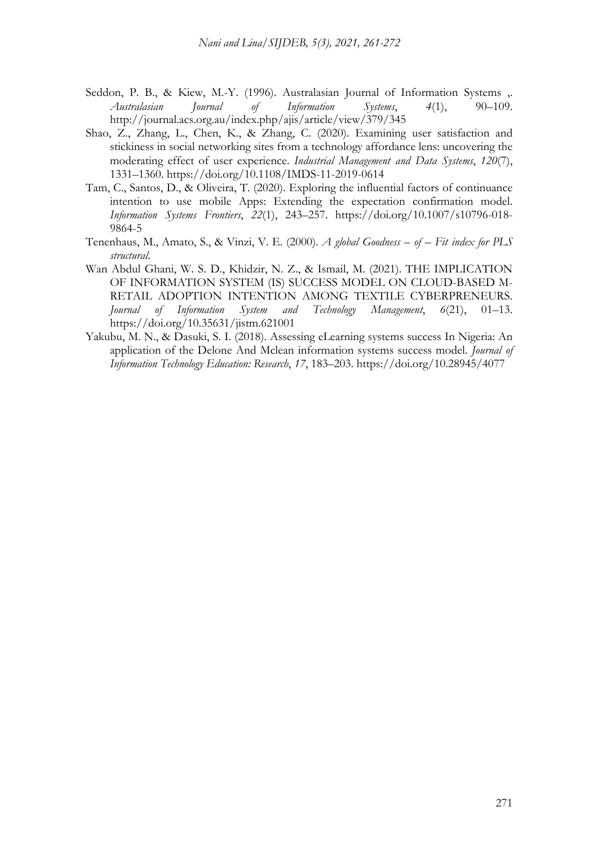- Seddon, P. B., & Kiew, M.-Y. (1996). Australasian Journal of Information Systems, *Australasian Journal of Information Systems*, *4*(1), 90–109. http://journal.acs.org.au/index.php/ajis/article/view/379/345
- Shao, Z., Zhang, L., Chen, K., & Zhang, C. (2020). Examining user satisfaction and stickiness in social networking sites from a technology affordance lens: uncovering the moderating effect of user experience. *Industrial Management and Data Systems*, *120*(7), 1331–1360. https://doi.org/10.1108/IMDS-11-2019-0614
- Tam, C., Santos, D., & Oliveira, T. (2020). Exploring the influential factors of continuance intention to use mobile Apps: Extending the expectation confirmation model. *Information Systems Frontiers*, *22*(1), 243–257. https://doi.org/10.1007/s10796-018- 9864-5
- Tenenhaus, M., Amato, S., & Vinzi, V. E. (2000). *A global Goodness – of – Fit index for PLS structural*.
- Wan Abdul Ghani, W. S. D., Khidzir, N. Z., & Ismail, M. (2021). THE IMPLICATION OF INFORMATION SYSTEM (IS) SUCCESS MODEL ON CLOUD-BASED M-RETAIL ADOPTION INTENTION AMONG TEXTILE CYBERPRENEURS. *Journal of Information System and Technology Management*, *6*(21), 01–13. https://doi.org/10.35631/jistm.621001
- Yakubu, M. N., & Dasuki, S. I. (2018). Assessing eLearning systems success In Nigeria: An application of the Delone And Mclean information systems success model. *Journal of Information Technology Education: Research*, *17*, 183–203. https://doi.org/10.28945/4077